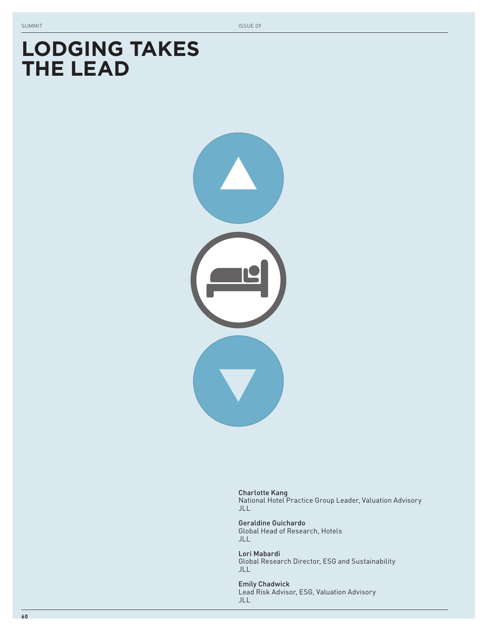# **LODGING TAKES THE LEAD**



Charlotte Kang National Hotel Practice Group Leader, Valuation Advisory JLL

Geraldine Guichardo Global Head of Research, Hotels JLL

Lori Mabardi Global Research Director, ESG and Sustainability JLL

Emily Chadwick Lead Risk Advisor, ESG, Valuation Advisory JLL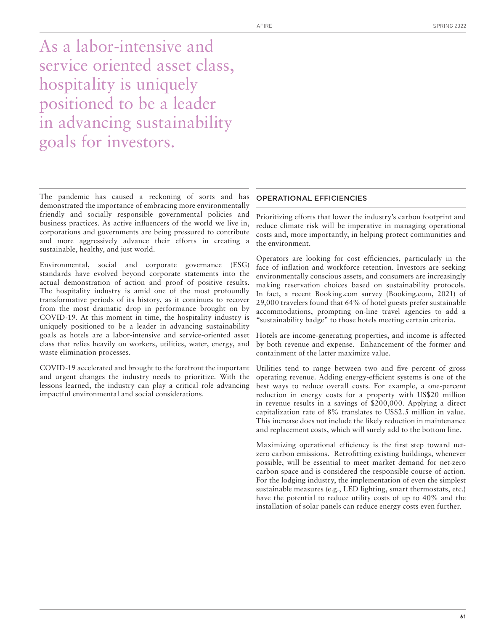As a labor-intensive and service oriented asset class, hospitality is uniquely positioned to be a leader in advancing sustainability goals for investors.

The pandemic has caused a reckoning of sorts and has demonstrated the importance of embracing more environmentally friendly and socially responsible governmental policies and business practices. As active influencers of the world we live in, corporations and governments are being pressured to contribute and more aggressively advance their efforts in creating a sustainable, healthy, and just world.

Environmental, social and corporate governance (ESG) standards have evolved beyond corporate statements into the actual demonstration of action and proof of positive results. The hospitality industry is amid one of the most profoundly transformative periods of its history, as it continues to recover from the most dramatic drop in performance brought on by COVID-19. At this moment in time, the hospitality industry is uniquely positioned to be a leader in advancing sustainability goals as hotels are a labor-intensive and service-oriented asset class that relies heavily on workers, utilities, water, energy, and waste elimination processes.

COVID-19 accelerated and brought to the forefront the important and urgent changes the industry needs to prioritize. With the lessons learned, the industry can play a critical role advancing impactful environmental and social considerations.

#### OPERATIONAL EFFICIENCIES

Prioritizing efforts that lower the industry's carbon footprint and reduce climate risk will be imperative in managing operational costs and, more importantly, in helping protect communities and the environment.

Operators are looking for cost efficiencies, particularly in the face of inflation and workforce retention. Investors are seeking environmentally conscious assets, and consumers are increasingly making reservation choices based on sustainability protocols. In fact, a recent Booking.com survey (Booking.com, 2021) of 29,000 travelers found that 64% of hotel guests prefer sustainable accommodations, prompting on-line travel agencies to add a "sustainability badge" to those hotels meeting certain criteria.

Hotels are income-generating properties, and income is affected by both revenue and expense. Enhancement of the former and containment of the latter maximize value.

Utilities tend to range between two and five percent of gross operating revenue. Adding energy-efficient systems is one of the best ways to reduce overall costs. For example, a one-percent reduction in energy costs for a property with US\$20 million in revenue results in a savings of \$200,000. Applying a direct capitalization rate of 8% translates to US\$2.5 million in value. This increase does not include the likely reduction in maintenance and replacement costs, which will surely add to the bottom line.

Maximizing operational efficiency is the first step toward netzero carbon emissions. Retrofitting existing buildings, whenever possible, will be essential to meet market demand for net-zero carbon space and is considered the responsible course of action. For the lodging industry, the implementation of even the simplest sustainable measures (e.g., LED lighting, smart thermostats, etc.) have the potential to reduce utility costs of up to 40% and the installation of solar panels can reduce energy costs even further.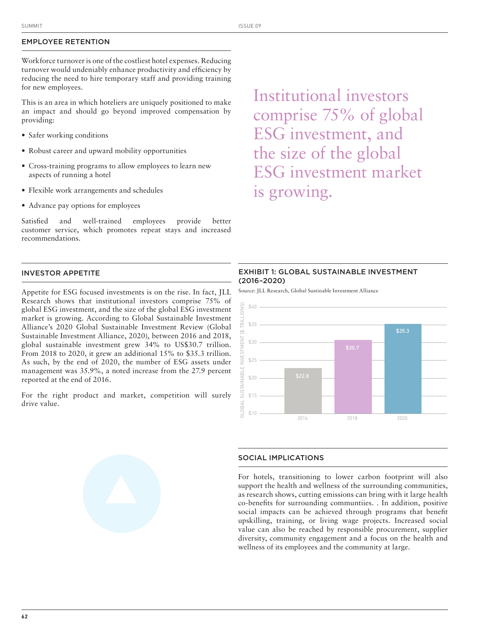## EMPLOYEE RETENTION

Workforce turnover is one of the costliest hotel expenses. Reducing turnover would undeniably enhance productivity and efficiency by reducing the need to hire temporary staff and providing training for new employees.

This is an area in which hoteliers are uniquely positioned to make an impact and should go beyond improved compensation by providing:

- Safer working conditions
- Robust career and upward mobility opportunities
- Cross-training programs to allow employees to learn new aspects of running a hotel
- Flexible work arrangements and schedules
- Advance pay options for employees

Satisfied and well-trained employees provide better customer service, which promotes repeat stays and increased recommendations.

# INVESTOR APPETITE

Appetite for ESG focused investments is on the rise. In fact, JLL Research shows that institutional investors comprise 75% of global ESG investment, and the size of the global ESG investment market is growing. According to Global Sustainable Investment Alliance's 2020 Global Sustainable Investment Review (Global Sustainable Investment Alliance, 2020), between 2016 and 2018, global sustainable investment grew 34% to US\$30.7 trillion. From 2018 to 2020, it grew an additional 15% to \$35.3 trillion. As such, by the end of 2020, the number of ESG assets under management was 35.9%, a noted increase from the 27.9 percent reported at the end of 2016.

For the right product and market, competition will surely drive value.

Institutional investors comprise 75% of global ESG investment, and the size of the global ESG investment market is growing.

## EXHIBIT 1: GLOBAL SUSTAINABLE INVESTMENT (2016–2020)

Source: JLL Research, Global Sustinable Investment Alliance



# SOCIAL IMPLICATIONS

For hotels, transitioning to lower carbon footprint will also support the health and wellness of the surrounding communities, as research shows, cutting emissions can bring with it large health co-benefits for surrounding communtiies. . In addition, positive social impacts can be achieved through programs that benefit upskilling, training, or living wage projects. Increased social value can also be reached by responsible procurement, supplier diversity, community engagement and a focus on the health and wellness of its employees and the community at large.